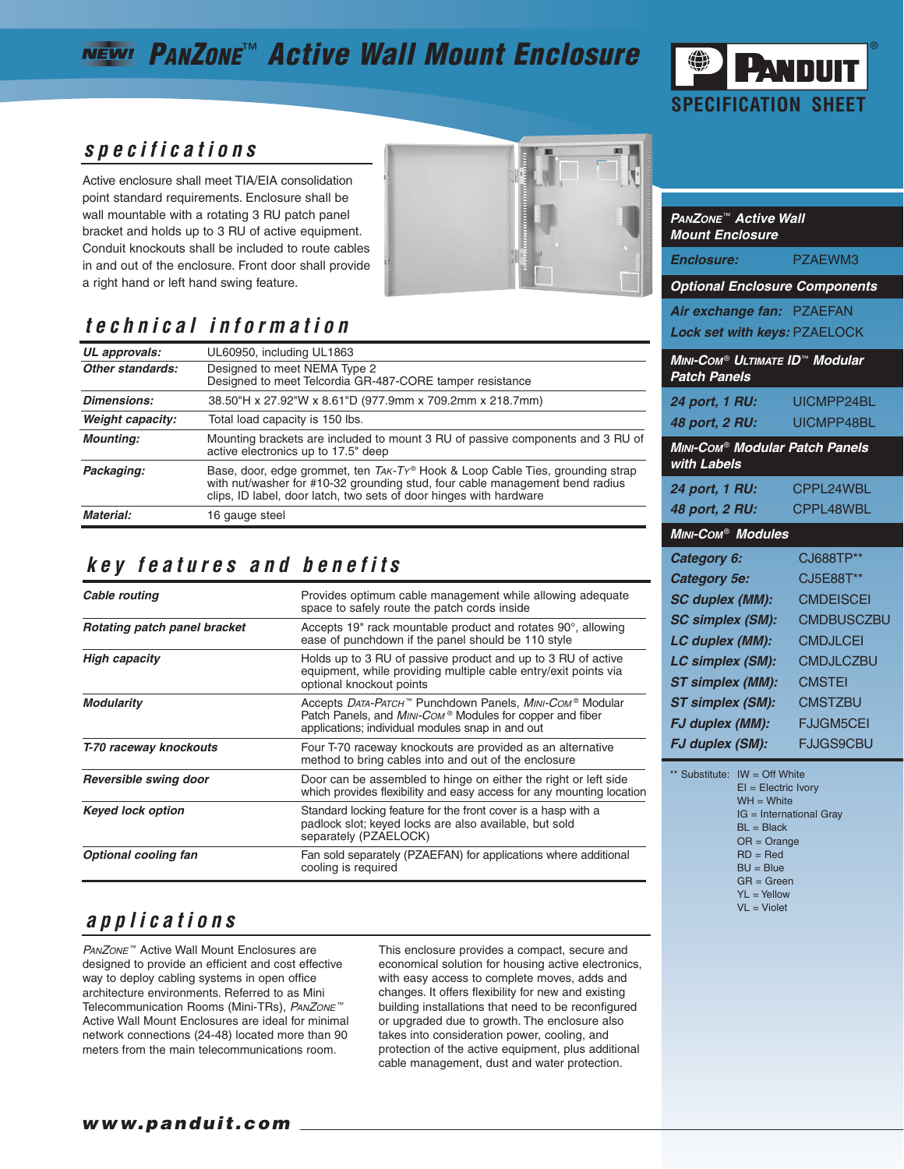## **PANZONE**™ **Active Wall Mount Enclosure**



#### **specifications**

Active enclosure shall meet TIA/EIA consolidation point standard requirements. Enclosure shall be wall mountable with a rotating 3 RU patch panel bracket and holds up to 3 RU of active equipment. Conduit knockouts shall be included to route cables in and out of the enclosure. Front door shall provide a right hand or left hand swing feature.



#### **technical information**

| UL approvals:      | UL60950, including UL1863                                                                                                                                                                                                           |  |
|--------------------|-------------------------------------------------------------------------------------------------------------------------------------------------------------------------------------------------------------------------------------|--|
| Other standards:   | Designed to meet NEMA Type 2<br>Designed to meet Telcordia GR-487-CORE tamper resistance                                                                                                                                            |  |
| <b>Dimensions:</b> | 38.50"H x 27.92"W x 8.61"D (977.9mm x 709.2mm x 218.7mm)                                                                                                                                                                            |  |
| Weight capacity:   | Total load capacity is 150 lbs.                                                                                                                                                                                                     |  |
| <b>Mounting:</b>   | Mounting brackets are included to mount 3 RU of passive components and 3 RU of<br>active electronics up to 17.5" deep                                                                                                               |  |
| Packaging:         | Base, door, edge grommet, ten TAK-Ty® Hook & Loop Cable Ties, grounding strap<br>with nut/washer for #10-32 grounding stud, four cable management bend radius<br>clips, ID label, door latch, two sets of door hinges with hardware |  |
| Material:          | 16 gauge steel                                                                                                                                                                                                                      |  |
|                    |                                                                                                                                                                                                                                     |  |

#### **key features and benefits**

| Cable routing                | Provides optimum cable management while allowing adequate<br>space to safely route the patch cords inside                                                                               |  |
|------------------------------|-----------------------------------------------------------------------------------------------------------------------------------------------------------------------------------------|--|
| Rotating patch panel bracket | Accepts 19" rack mountable product and rotates $90^\circ$ , allowing<br>ease of punchdown if the panel should be 110 style                                                              |  |
| <b>High capacity</b>         | Holds up to 3 RU of passive product and up to 3 RU of active<br>equipment, while providing multiple cable entry/exit points via<br>optional knockout points                             |  |
| <b>Modularity</b>            | Accepts <i>DATA-РАТСН</i> ™ Punchdown Panels, <i>MINI-Сом</i> ® Modular<br>Patch Panels, and MINI-COM® Modules for copper and fiber<br>applications; individual modules snap in and out |  |
| T-70 raceway knockouts       | Four T-70 raceway knockouts are provided as an alternative<br>method to bring cables into and out of the enclosure                                                                      |  |
| Reversible swing door        | Door can be assembled to hinge on either the right or left side<br>which provides flexibility and easy access for any mounting location                                                 |  |
| <b>Keyed lock option</b>     | Standard locking feature for the front cover is a hasp with a<br>padlock slot; keyed locks are also available, but sold<br>separately (PZAELOCK)                                        |  |
| <b>Optional cooling fan</b>  | Fan sold separately (PZAEFAN) for applications where additional<br>cooling is required                                                                                                  |  |

### **applications**

PANZONE<sup>™</sup> Active Wall Mount Enclosures are designed to provide an efficient and cost effective way to deploy cabling systems in open office architecture environments. Referred to as Mini Telecommunication Rooms (Mini-TRs), PANZONE<sup>™</sup> Active Wall Mount Enclosures are ideal for minimal network connections (24-48) located more than 90 meters from the main telecommunications room.

This enclosure provides a compact, secure and economical solution for housing active electronics, with easy access to complete moves, adds and changes. It offers flexibility for new and existing building installations that need to be reconfigured or upgraded due to growth. The enclosure also takes into consideration power, cooling, and protection of the active equipment, plus additional cable management, dust and water protection.

| <b>PANZONE™ Active Wall</b><br><b>Mount Enclosure</b>           |                   |  |  |
|-----------------------------------------------------------------|-------------------|--|--|
| <b>Enclosure:</b>                                               | PZAEWM3           |  |  |
| <b>Optional Enclosure Components</b>                            |                   |  |  |
| Air exchange fan: PZAEFAN                                       |                   |  |  |
| Lock set with keys: PZAELOCK                                    |                   |  |  |
| MINI-COM® ULTIMATE ID™ Modular<br><b>Patch Panels</b>           |                   |  |  |
| 24 port, 1 RU:                                                  | UICMPP24BL        |  |  |
| 48 port, 2 RU:                                                  | UICMPP48BL        |  |  |
| <b>MINI-Com<sup>®</sup> Modular Patch Panels</b><br>with Labels |                   |  |  |
| 24 port, 1 RU:                                                  | CPPL24WBL         |  |  |
| 48 port, 2 RU:                                                  | CPPI 48WBL        |  |  |
| <b>MINI-COM<sup>®</sup> Modules</b>                             |                   |  |  |
| Category 6:                                                     | CJ688TP**         |  |  |
| <b>Category 5e:</b>                                             | <b>CJ5E88T**</b>  |  |  |
| <b>SC duplex (MM):</b>                                          | <b>CMDEISCEI</b>  |  |  |
| <b>SC simplex (SM):</b>                                         | <b>CMDBUSCZBU</b> |  |  |
| LC duplex (MM):                                                 | CMDJI CEI         |  |  |
| <b>LC simplex (SM):</b>                                         | <b>CMDJLCZBU</b>  |  |  |
| <b>ST simplex (MM):</b>                                         | <b>CMSTEI</b>     |  |  |
| <b>ST simplex (SM):</b>                                         | <b>CMSTZBU</b>    |  |  |
| <b>FJ duplex (MM):</b>                                          | <b>FJJGM5CEI</b>  |  |  |
| FJ duplex (SM):                                                 | <b>FJJGS9CBU</b>  |  |  |

\*\* Substitute: IW = Off White EI = Electric Ivory  $WH = White$ IG = International Gray  $BI = Black$ OR = Orange  $RD = Red$  $BU = Blu$ e GR = Green  $YL = YeIlow$ VL = Violet